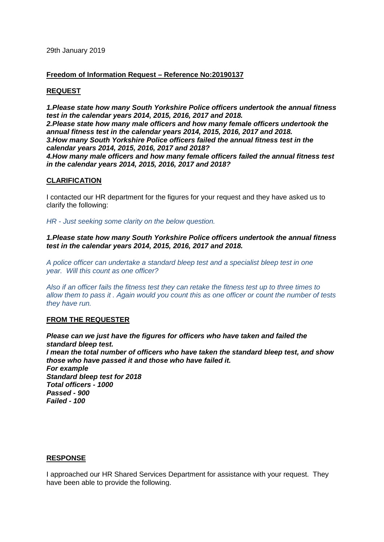### **Freedom of Information Request – Reference No:20190137**

# **REQUEST**

*1.Please state how many South Yorkshire Police officers undertook the annual fitness test in the calendar years 2014, 2015, 2016, 2017 and 2018. 2.Please state how many male officers and how many female officers undertook the annual fitness test in the calendar years 2014, 2015, 2016, 2017 and 2018. 3.How many South Yorkshire Police officers failed the annual fitness test in the calendar years 2014, 2015, 2016, 2017 and 2018? 4.How many male officers and how many female officers failed the annual fitness test in the calendar years 2014, 2015, 2016, 2017 and 2018?*

## **CLARIFICATION**

I contacted our HR department for the figures for your request and they have asked us to clarify the following:

*HR - Just seeking some clarity on the below question.*

*1.Please state how many South Yorkshire Police officers undertook the annual fitness test in the calendar years 2014, 2015, 2016, 2017 and 2018.* 

*A police officer can undertake a standard bleep test and a specialist bleep test in one year. Will this count as one officer?*

*Also if an officer fails the fitness test they can retake the fitness test up to three times to allow them to pass it . Again would you count this as one officer or count the number of tests they have run.*

### **FROM THE REQUESTER**

*Please can we just have the figures for officers who have taken and failed the standard bleep test. I mean the total number of officers who have taken the standard bleep test, and show those who have passed it and those who have failed it. For example Standard bleep test for 2018 Total officers - 1000 Passed - 900 Failed - 100*

### **RESPONSE**

I approached our HR Shared Services Department for assistance with your request. They have been able to provide the following.